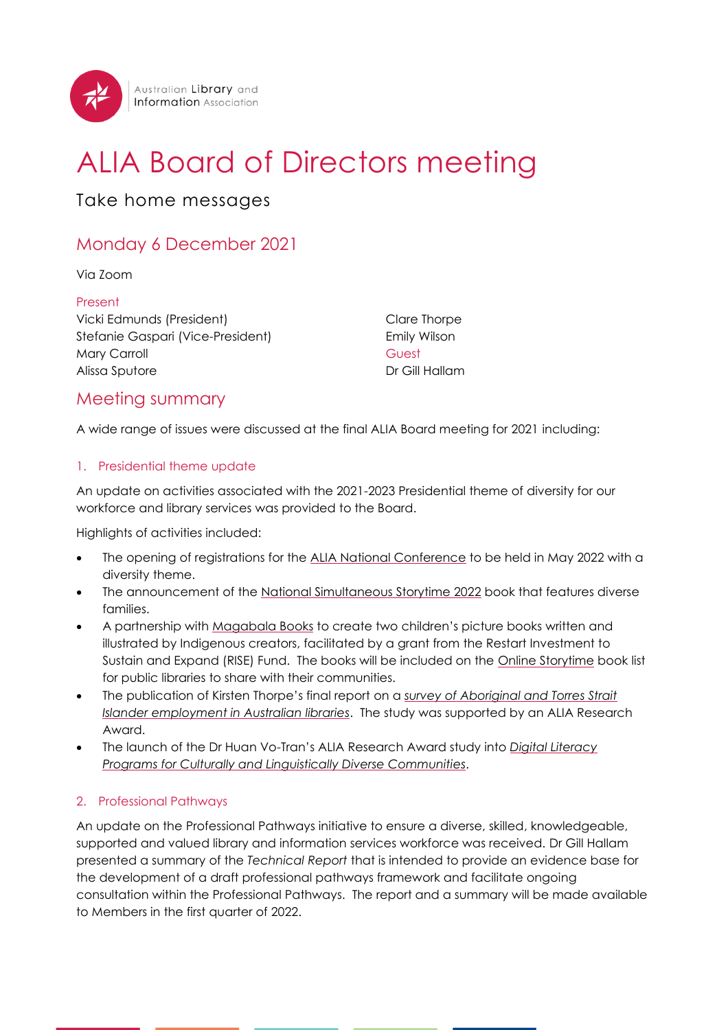

# ALIA Board of Directors meeting

Take home messages

# Monday 6 December 2021

Via Zoom

Present Vicki Edmunds (President) Stefanie Gaspari (Vice-President) Mary Carroll Alissa Sputore

Clare Thorpe Emily Wilson Guest Dr Gill Hallam

# Meeting summary

A wide range of issues were discussed at the final ALIA Board meeting for 2021 including:

# 1. Presidential theme update

An update on activities associated with the 2021-2023 Presidential theme of diversity for our workforce and library services was provided to the Board.

Highlights of activities included:

- The opening of registrations for the [ALIA National Conference](https://www.alia.org.au/conference) to be held in May 2022 with a diversity theme.
- The announcement of the [National Simultaneous Storytime 2022](https://www.alia.org.au/Web/Events-and-Programs/National-Simultaneous-Storytime/Web/Events/NSS/ALIA-National-Simultaneous-Storytime-2022.aspx?hkey=ba22a12e-c39f-4f7f-bbb9-d1f983e89ad5) book that features diverse families.
- A partnership with [Magabala Books](https://www.alia.org.au/Web/News/Articles/2021/12-December-2021/ALIA_partners_with_leading_Indigenous_publisher_Magabala_Books.aspx) to create two children's picture books written and illustrated by Indigenous creators, facilitated by a grant from the Restart Investment to Sustain and Expand (RISE) Fund. The books will be included on the [Online Storytime](https://www.alia.org.au/Web/About-Us/Online-Storytime-Agreement.aspx) book list for public libraries to share with their communities.
- The publication of Kirsten Thorpe's final report on a *survey of [Aboriginal and Torres Strait](https://read.alia.org.au/national-survey-aboriginal-and-torres-strait-islander-employment-australian-libraries-research)  [Islander employment in Australian libraries](https://read.alia.org.au/national-survey-aboriginal-and-torres-strait-islander-employment-australian-libraries-research)*. The study was supported by an ALIA Research Award.
- The launch of the Dr Huan Vo-Tran's ALIA Research Award study into *[Digital Literacy](https://read.alia.org.au/digital-literacy-programs-culturally-and-linguistically-diverse-communities)  [Programs for Culturally and Linguistically Diverse Communities](https://read.alia.org.au/digital-literacy-programs-culturally-and-linguistically-diverse-communities)*.

# 2. Professional Pathways

An update on the Professional Pathways initiative to ensure a diverse, skilled, knowledgeable, supported and valued library and information services workforce was received. Dr Gill Hallam presented a summary of the *Technical Report* that is intended to provide an evidence base for the development of a draft professional pathways framework and facilitate ongoing consultation within the Professional Pathways. The report and a summary will be made available to Members in the first quarter of 2022.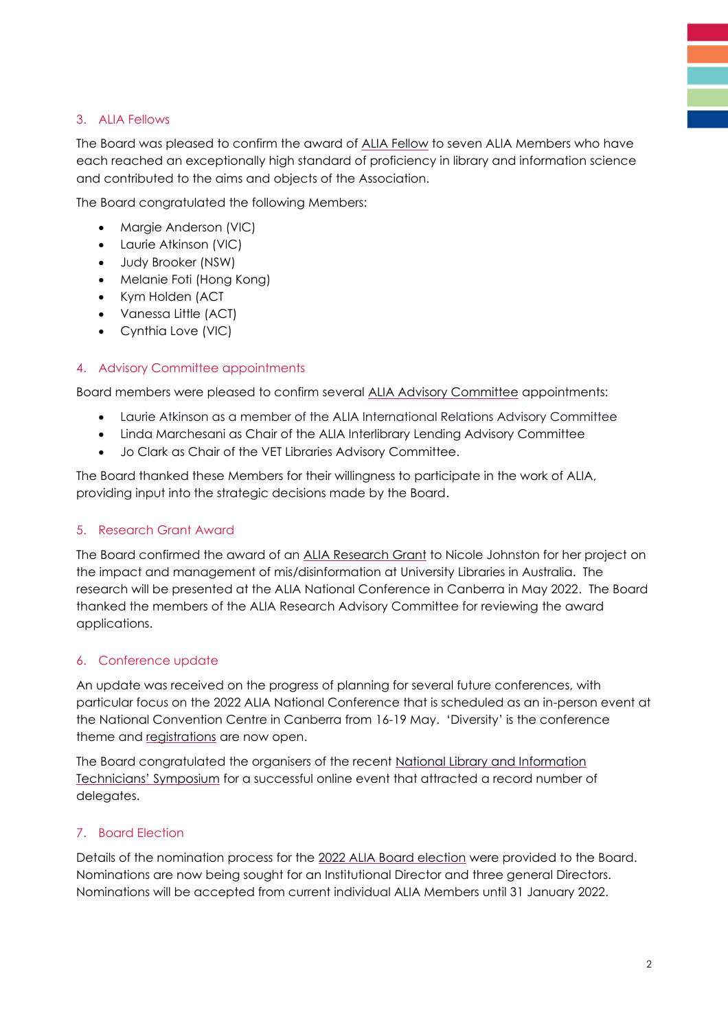# 3. ALIA Fellows

The Board was pleased to confirm the award of [ALIA Fellow](https://www.alia.org.au/Web/News/Articles/2021/12-December-2021/ALIA_congratulates_seven_members_awarded_ALIA_Fellowship_in_2021.aspx) to seven ALIA Members who have each reached an exceptionally high standard of proficiency in library and information science and contributed to the aims and objects of the Association.

The Board congratulated the following Members:

- Margie Anderson (VIC)
- Laurie Atkinson (VIC)
- Judy Brooker (NSW)
- Melanie Foti (Hong Kong)
- Kym Holden (ACT
- Vanessa Little (ACT)
- Cynthia Love (VIC)

# 4. Advisory Committee appointments

Board members were pleased to confirm several [ALIA Advisory Committee](https://www.alia.org.au/Web/Members/Groups-and-Committees/Web/Our-Members/Communities/Communities.aspx?hkey=740643e0-e96b-4135-a95c-304d794890d6) appointments:

- Laurie Atkinson as a member of the ALIA International Relations Advisory Committee
- Linda Marchesani as Chair of the ALIA Interlibrary Lending Advisory Committee
- Jo Clark as Chair of the VET Libraries Advisory Committee.

The Board thanked these Members for their willingness to participate in the work of ALIA, providing input into the strategic decisions made by the Board.

#### 5. Research Grant Award

The Board confirmed the award of an [ALIA Research Grant](https://www.alia.org.au/Web/News/Articles/2021/10-October-2021/Announcing%20the%202021%20ALIA%20Research%20Grant%20Award%20recipient.aspx) to Nicole Johnston for her project on the impact and management of mis/disinformation at University Libraries in Australia. The research will be presented at the ALIA National Conference in Canberra in May 2022. The Board thanked the members of the ALIA Research Advisory Committee for reviewing the award applications.

#### 6. Conference update

An update was received on the progress of planning for several future conferences, with particular focus on the 2022 ALIA National Conference that is scheduled as an in-person event at the National Convention Centre in Canberra from 16-19 May. 'Diversity' is the conference theme and [registrations](https://www.alia.org.au/conference) are now open.

The Board congratulated the organisers of the recent [National Library and Information](https://www.alia.org.au/EventDetail?EventKey=LIBTECH21A)  [Technicians' Symposium](https://www.alia.org.au/EventDetail?EventKey=LIBTECH21A) for a successful online event that attracted a record number of delegates.

#### 7. Board Election

Details of the nomination process for the [2022 ALIA Board election](https://www.alia.org.au/Web/About/Governance/Board-Elections/Web/About-Us/Board/Board-Elections.aspx?hkey=7e0cd6fe-18ce-4a98-821e-5fa27774e208) were provided to the Board. Nominations are now being sought for an Institutional Director and three general Directors. Nominations will be accepted from current individual ALIA Members until 31 January 2022.